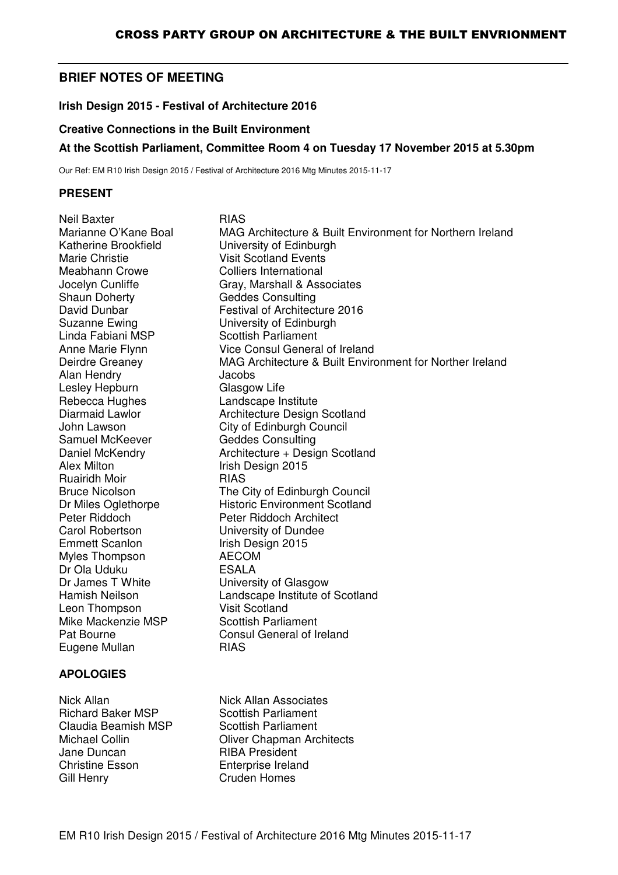# **BRIEF NOTES OF MEETING**

**Irish Design 2015 - Festival of Architecture 2016** 

#### **Creative Connections in the Built Environment**

### **At the Scottish Parliament, Committee Room 4 on Tuesday 17 November 2015 at 5.30pm**

Our Ref: EM R10 Irish Design 2015 / Festival of Architecture 2016 Mtg Minutes 2015-11-17

#### **PRESENT**

Neil Baxter **RIAS** Katherine Brookfield University of Edinburgh Marie Christie **Visit Scotland Events** Meabhann Crowe Colliers International Shaun Doherty **Geddes Consulting** Suzanne Ewing<br>
Linda Fabiani MSP<br>
Cottish Parliament Alan Hendry **Jacobs** Lesley Hepburn Glasgow Life Rebecca Hughes Landscape Institute Samuel McKeever Geddes Consulting Alex Milton **Irish Design 2015** Ruairidh Moir **RIAS** Carol Robertson University of Dundee Emmett Scanlon Irish Design 2015 Myles Thompson AECOM Dr Ola Uduku **ESALA** Dr James T White University of Glasgow Leon Thompson Mike Mackenzie MSP Scottish Parliament Eugene Mullan RIAS

### **APOLOGIES**

Nick Allan Nick Allan Associates Richard Baker MSP Scottish Parliament Claudia Beamish MSP Scottish Parliament Jane Duncan RIBA President Christine Esson Enterprise Ireland Gill Henry **Cruden Homes** 

Marianne O'Kane Boal MAG Architecture & Built Environment for Northern Ireland Jocelyn Cunliffe Gray, Marshall & Associates David Dunbar **Festival of Architecture 2016** Scottish Parliament Anne Marie Flynn Vice Consul General of Ireland Deirdre Greaney MAG Architecture & Built Environment for Norther Ireland Diarmaid Lawlor **Architecture Design Scotland** John Lawson City of Edinburgh Council Daniel McKendry **Architecture + Design Scotland** Bruce Nicolson The City of Edinburgh Council Dr Miles Oglethorpe<br>
Peter Riddoch<br>
Peter Riddoch Architect Peter Riddoch Architect Hamish Neilson **Landscape Institute of Scotland**<br>
Leon Thompson **Contains Urist** Scotland Pat Bourne Consul General of Ireland

Michael Collin **Collin Collin Oliver Chapman Architects**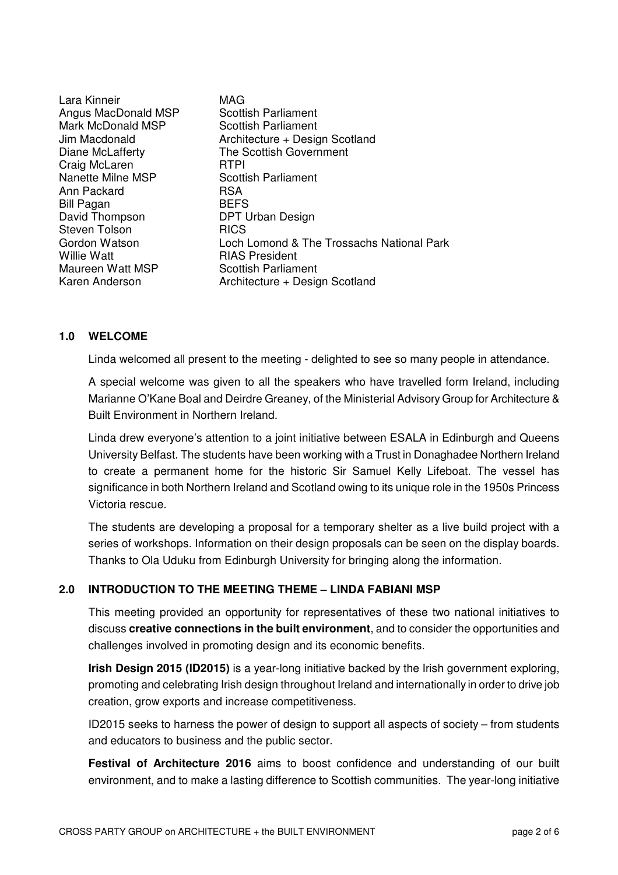Lara Kinneir **MAG** Angus MacDonald MSP Scottish Parliament Mark McDonald MSP Scottish Parliament Craig McLaren RTPI Nanette Milne MSP Scottish Parliament Ann Packard RSA Bill Pagan BEFS Steven Tolson **RICS** Maureen Watt MSP Scottish Parliament

Jim Macdonald Architecture + Design Scotland Diane McLafferty The Scottish Government DPT Urban Design Gordon Watson **Loch Lomond & The Trossachs National Park**<br>
Willie Watt<br> **COLOGY RIAS President** RIAS President Karen Anderson **Architecture + Design Scotland** 

### **1.0 WELCOME**

Linda welcomed all present to the meeting - delighted to see so many people in attendance.

A special welcome was given to all the speakers who have travelled form Ireland, including Marianne O'Kane Boal and Deirdre Greaney, of the Ministerial Advisory Group for Architecture & Built Environment in Northern Ireland.

Linda drew everyone's attention to a joint initiative between ESALA in Edinburgh and Queens University Belfast. The students have been working with a Trust in Donaghadee Northern Ireland to create a permanent home for the historic Sir Samuel Kelly Lifeboat. The vessel has significance in both Northern Ireland and Scotland owing to its unique role in the 1950s Princess Victoria rescue.

The students are developing a proposal for a temporary shelter as a live build project with a series of workshops. Information on their design proposals can be seen on the display boards. Thanks to Ola Uduku from Edinburgh University for bringing along the information.

### **2.0 INTRODUCTION TO THE MEETING THEME – LINDA FABIANI MSP**

This meeting provided an opportunity for representatives of these two national initiatives to discuss **creative connections in the built environment**, and to consider the opportunities and challenges involved in promoting design and its economic benefits.

**Irish Design 2015 (ID2015)** is a year-long initiative backed by the Irish government exploring, promoting and celebrating Irish design throughout Ireland and internationally in order to drive job creation, grow exports and increase competitiveness.

ID2015 seeks to harness the power of design to support all aspects of society – from students and educators to business and the public sector.

**Festival of Architecture 2016** aims to boost confidence and understanding of our built environment, and to make a lasting difference to Scottish communities. The year-long initiative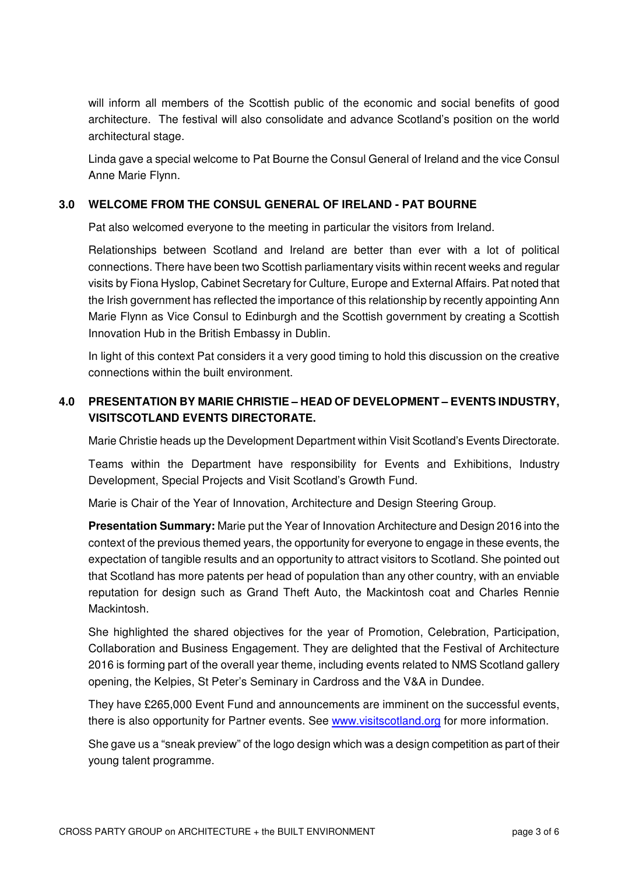will inform all members of the Scottish public of the economic and social benefits of good architecture. The festival will also consolidate and advance Scotland's position on the world architectural stage.

Linda gave a special welcome to Pat Bourne the Consul General of Ireland and the vice Consul Anne Marie Flynn.

### **3.0 WELCOME FROM THE CONSUL GENERAL OF IRELAND - PAT BOURNE**

Pat also welcomed everyone to the meeting in particular the visitors from Ireland.

Relationships between Scotland and Ireland are better than ever with a lot of political connections. There have been two Scottish parliamentary visits within recent weeks and regular visits by Fiona Hyslop, Cabinet Secretary for Culture, Europe and External Affairs. Pat noted that the Irish government has reflected the importance of this relationship by recently appointing Ann Marie Flynn as Vice Consul to Edinburgh and the Scottish government by creating a Scottish Innovation Hub in the British Embassy in Dublin.

In light of this context Pat considers it a very good timing to hold this discussion on the creative connections within the built environment.

# **4.0 PRESENTATION BY MARIE CHRISTIE – HEAD OF DEVELOPMENT – EVENTS INDUSTRY, VISITSCOTLAND EVENTS DIRECTORATE.**

Marie Christie heads up the Development Department within Visit Scotland's Events Directorate.

Teams within the Department have responsibility for Events and Exhibitions, Industry Development, Special Projects and Visit Scotland's Growth Fund.

Marie is Chair of the Year of Innovation, Architecture and Design Steering Group.

**Presentation Summary:** Marie put the Year of Innovation Architecture and Design 2016 into the context of the previous themed years, the opportunity for everyone to engage in these events, the expectation of tangible results and an opportunity to attract visitors to Scotland. She pointed out that Scotland has more patents per head of population than any other country, with an enviable reputation for design such as Grand Theft Auto, the Mackintosh coat and Charles Rennie Mackintosh.

She highlighted the shared objectives for the year of Promotion, Celebration, Participation, Collaboration and Business Engagement. They are delighted that the Festival of Architecture 2016 is forming part of the overall year theme, including events related to NMS Scotland gallery opening, the Kelpies, St Peter's Seminary in Cardross and the V&A in Dundee.

They have £265,000 Event Fund and announcements are imminent on the successful events, there is also opportunity for Partner events. See www.visitscotland.org for more information.

She gave us a "sneak preview" of the logo design which was a design competition as part of their young talent programme.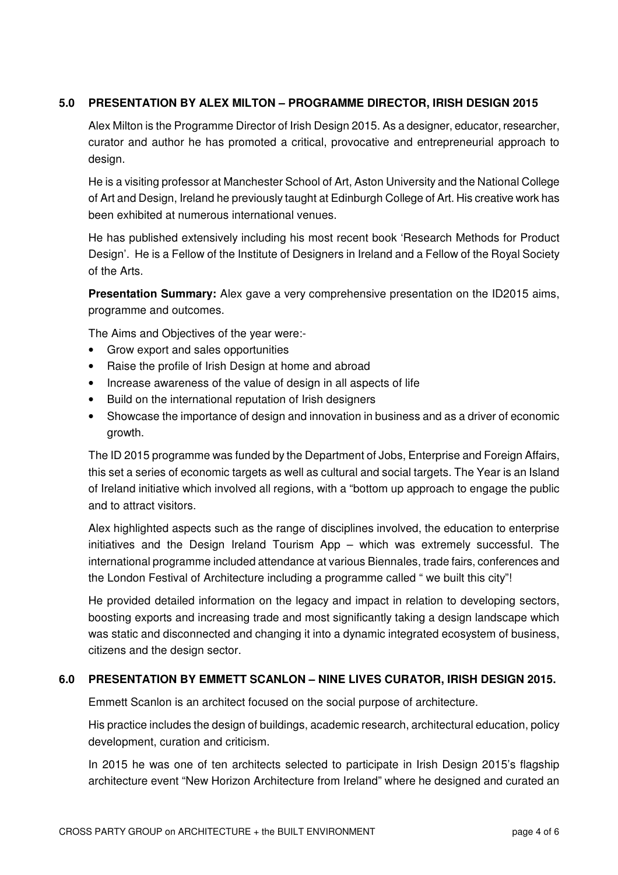# **5.0 PRESENTATION BY ALEX MILTON – PROGRAMME DIRECTOR, IRISH DESIGN 2015**

Alex Milton is the Programme Director of Irish Design 2015. As a designer, educator, researcher, curator and author he has promoted a critical, provocative and entrepreneurial approach to design.

He is a visiting professor at Manchester School of Art, Aston University and the National College of Art and Design, Ireland he previously taught at Edinburgh College of Art. His creative work has been exhibited at numerous international venues.

He has published extensively including his most recent book 'Research Methods for Product Design'. He is a Fellow of the Institute of Designers in Ireland and a Fellow of the Royal Society of the Arts.

**Presentation Summary:** Alex gave a very comprehensive presentation on the ID2015 aims, programme and outcomes.

The Aims and Objectives of the year were:-

- Grow export and sales opportunities
- Raise the profile of Irish Design at home and abroad
- Increase awareness of the value of design in all aspects of life
- Build on the international reputation of Irish designers
- Showcase the importance of design and innovation in business and as a driver of economic growth.

The ID 2015 programme was funded by the Department of Jobs, Enterprise and Foreign Affairs, this set a series of economic targets as well as cultural and social targets. The Year is an Island of Ireland initiative which involved all regions, with a "bottom up approach to engage the public and to attract visitors.

Alex highlighted aspects such as the range of disciplines involved, the education to enterprise initiatives and the Design Ireland Tourism App – which was extremely successful. The international programme included attendance at various Biennales, trade fairs, conferences and the London Festival of Architecture including a programme called " we built this city"!

He provided detailed information on the legacy and impact in relation to developing sectors, boosting exports and increasing trade and most significantly taking a design landscape which was static and disconnected and changing it into a dynamic integrated ecosystem of business, citizens and the design sector.

### **6.0 PRESENTATION BY EMMETT SCANLON – NINE LIVES CURATOR, IRISH DESIGN 2015.**

Emmett Scanlon is an architect focused on the social purpose of architecture.

His practice includes the design of buildings, academic research, architectural education, policy development, curation and criticism.

In 2015 he was one of ten architects selected to participate in Irish Design 2015's flagship architecture event "New Horizon Architecture from Ireland" where he designed and curated an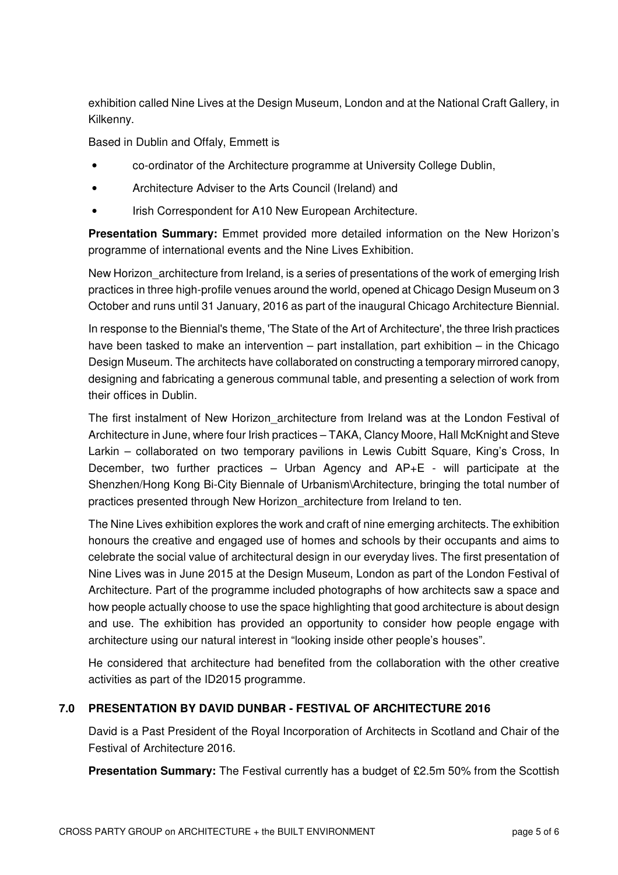exhibition called Nine Lives at the Design Museum, London and at the National Craft Gallery, in Kilkenny.

Based in Dublin and Offaly, Emmett is

- co-ordinator of the Architecture programme at University College Dublin,
- Architecture Adviser to the Arts Council (Ireland) and
- Irish Correspondent for A10 New European Architecture.

**Presentation Summary:** Emmet provided more detailed information on the New Horizon's programme of international events and the Nine Lives Exhibition.

New Horizon architecture from Ireland, is a series of presentations of the work of emerging Irish practices in three high-profile venues around the world, opened at Chicago Design Museum on 3 October and runs until 31 January, 2016 as part of the inaugural Chicago Architecture Biennial.

In response to the Biennial's theme, 'The State of the Art of Architecture', the three Irish practices have been tasked to make an intervention – part installation, part exhibition – in the Chicago Design Museum. The architects have collaborated on constructing a temporary mirrored canopy, designing and fabricating a generous communal table, and presenting a selection of work from their offices in Dublin.

The first instalment of New Horizon architecture from Ireland was at the London Festival of Architecture in June, where four Irish practices – TAKA, Clancy Moore, Hall McKnight and Steve Larkin – collaborated on two temporary pavilions in Lewis Cubitt Square, King's Cross, In December, two further practices – Urban Agency and AP+E - will participate at the Shenzhen/Hong Kong Bi-City Biennale of Urbanism\Architecture, bringing the total number of practices presented through New Horizon\_architecture from Ireland to ten.

The Nine Lives exhibition explores the work and craft of nine emerging architects. The exhibition honours the creative and engaged use of homes and schools by their occupants and aims to celebrate the social value of architectural design in our everyday lives. The first presentation of Nine Lives was in June 2015 at the Design Museum, London as part of the London Festival of Architecture. Part of the programme included photographs of how architects saw a space and how people actually choose to use the space highlighting that good architecture is about design and use. The exhibition has provided an opportunity to consider how people engage with architecture using our natural interest in "looking inside other people's houses".

He considered that architecture had benefited from the collaboration with the other creative activities as part of the ID2015 programme.

# **7.0 PRESENTATION BY DAVID DUNBAR - FESTIVAL OF ARCHITECTURE 2016**

David is a Past President of the Royal Incorporation of Architects in Scotland and Chair of the Festival of Architecture 2016.

**Presentation Summary:** The Festival currently has a budget of £2.5m 50% from the Scottish